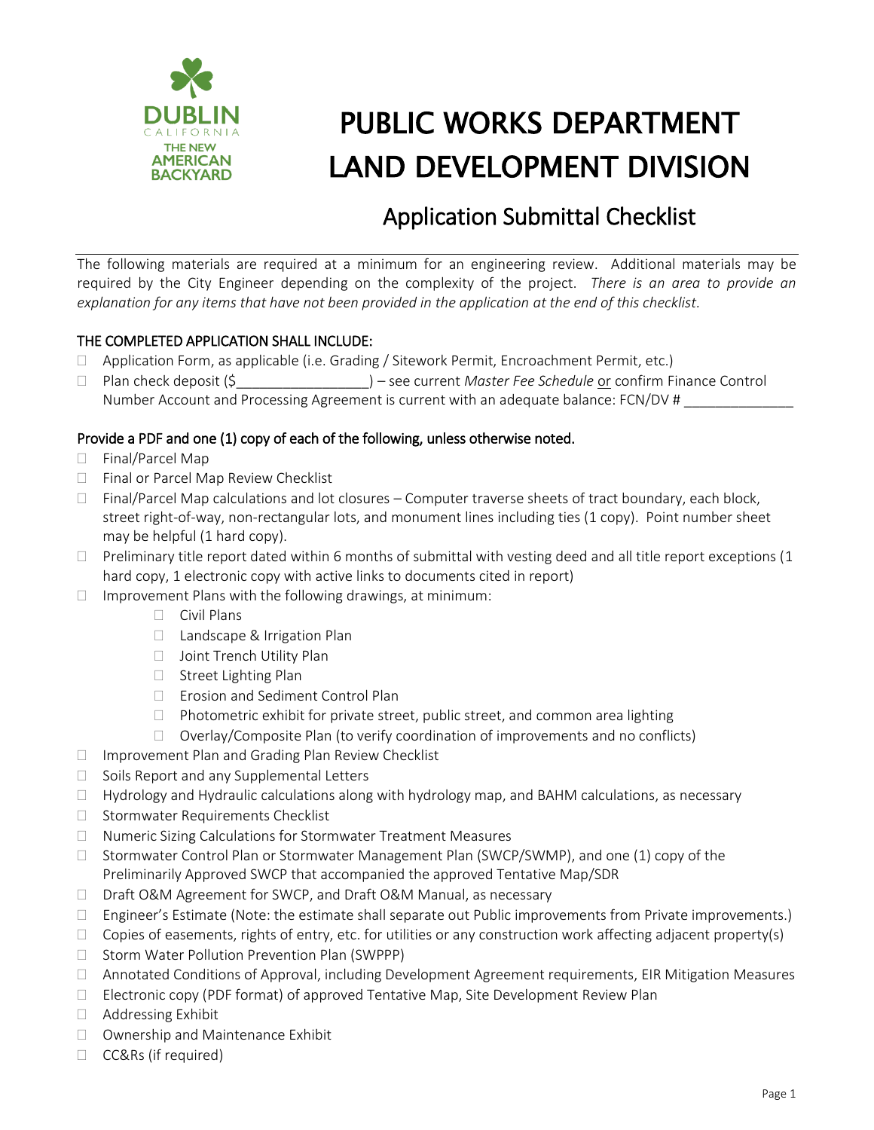

# PUBLIC WORKS DEPARTMENT LAND DEVELOPMENT DIVISION

## Application Submittal Checklist

The following materials are required at a minimum for an engineering review. Additional materials may be required by the City Engineer depending on the complexity of the project. *There is an area to provide an explanation for any items that have not been provided in the application at the end of this checklist.*

### THE COMPLETED APPLICATION SHALL INCLUDE:

- Application Form, as applicable (i.e. Grading / Sitework Permit, Encroachment Permit, etc.)
- □ Plan check deposit (\$ The Schedule or confirm Finance Control Number Account and Processing Agreement is current with an adequate balance: FCN/DV #

### Provide a PDF and one (1) copy of each of the following, unless otherwise noted.

- □ Final/Parcel Map
- □ Final or Parcel Map Review Checklist
- $\Box$  Final/Parcel Map calculations and lot closures Computer traverse sheets of tract boundary, each block, street right-of-way, non-rectangular lots, and monument lines including ties (1 copy). Point number sheet may be helpful (1 hard copy).
- $\Box$  Preliminary title report dated within 6 months of submittal with vesting deed and all title report exceptions (1 hard copy, 1 electronic copy with active links to documents cited in report)
- $\Box$  Improvement Plans with the following drawings, at minimum:
	- $\Box$  Civil Plans
	- □ Landscape & Irrigation Plan
	- □ Joint Trench Utility Plan
	- $\Box$  Street Lighting Plan
	- □ Erosion and Sediment Control Plan
	- $\Box$  Photometric exhibit for private street, public street, and common area lighting
	- $\Box$  Overlay/Composite Plan (to verify coordination of improvements and no conflicts)
- $\Box$  Improvement Plan and Grading Plan Review Checklist
- $\Box$  Soils Report and any Supplemental Letters
- $\Box$  Hydrology and Hydraulic calculations along with hydrology map, and BAHM calculations, as necessary
- $\Box$  Stormwater Requirements Checklist
- □ Numeric Sizing Calculations for Stormwater Treatment Measures
- $\Box$  Stormwater Control Plan or Stormwater Management Plan (SWCP/SWMP), and one (1) copy of the Preliminarily Approved SWCP that accompanied the approved Tentative Map/SDR
- □ Draft O&M Agreement for SWCP, and Draft O&M Manual, as necessary
- $\Box$  Engineer's Estimate (Note: the estimate shall separate out Public improvements from Private improvements.)
- $\Box$  Copies of easements, rights of entry, etc. for utilities or any construction work affecting adjacent property(s)
- □ Storm Water Pollution Prevention Plan (SWPPP)
- Annotated Conditions of Approval, including Development Agreement requirements, EIR Mitigation Measures
- $\Box$  Electronic copy (PDF format) of approved Tentative Map, Site Development Review Plan
- □ Addressing Exhibit
- □ Ownership and Maintenance Exhibit
- CC&Rs (if required)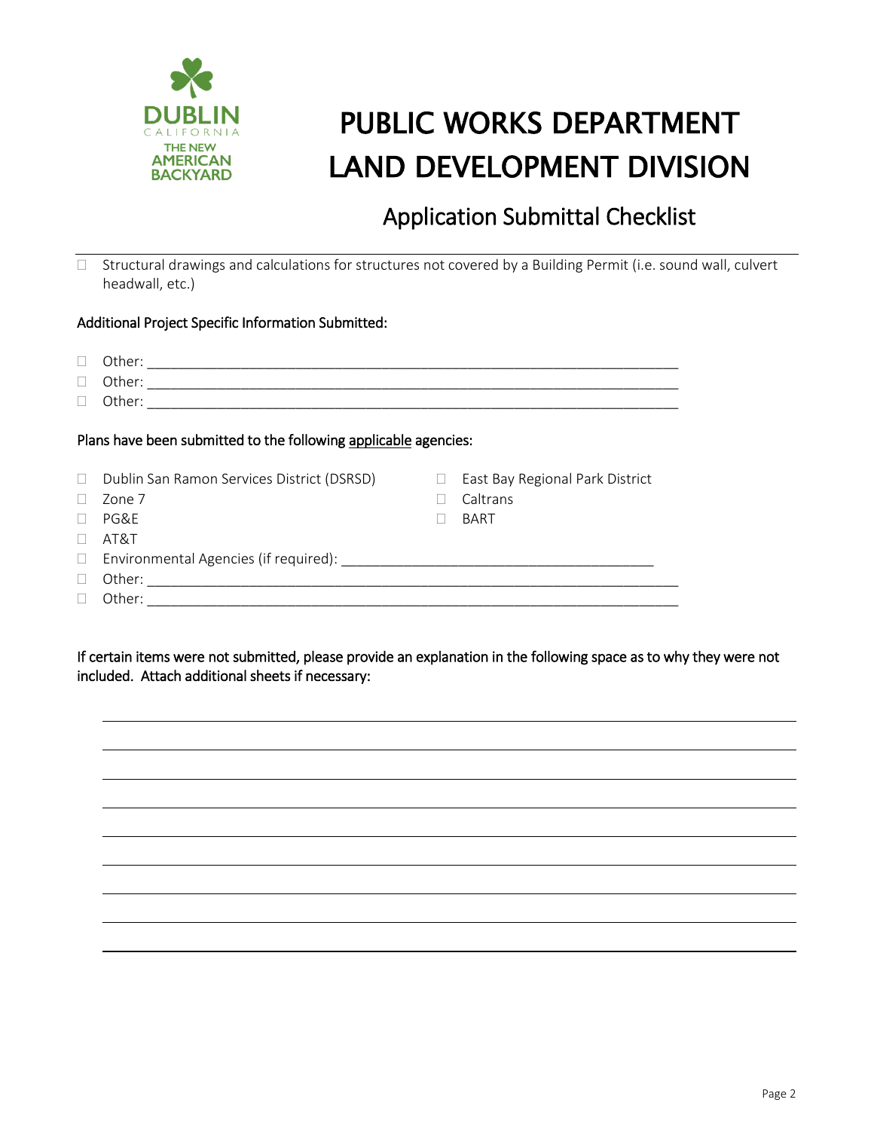

# PUBLIC WORKS DEPARTMENT LAND DEVELOPMENT DIVISION

## Application Submittal Checklist

 $\Box$  Structural drawings and calculations for structures not covered by a Building Permit (i.e. sound wall, culvert headwall, etc.)

#### Additional Project Specific Information Submitted:

| Plans have been submitted to the following applicable agencies: |                                            |        |                                 |
|-----------------------------------------------------------------|--------------------------------------------|--------|---------------------------------|
|                                                                 | Dublin San Ramon Services District (DSRSD) | $\Box$ | East Bay Regional Park District |
|                                                                 | Zone 7                                     |        | Caltrans                        |
|                                                                 | PG&F                                       |        | <b>BART</b>                     |
|                                                                 | AT&T                                       |        |                                 |
| $\Box$                                                          |                                            |        |                                 |
|                                                                 |                                            |        |                                 |
|                                                                 | Other:                                     |        |                                 |

If certain items were not submitted, please provide an explanation in the following space as to why they were not included. Attach additional sheets if necessary: